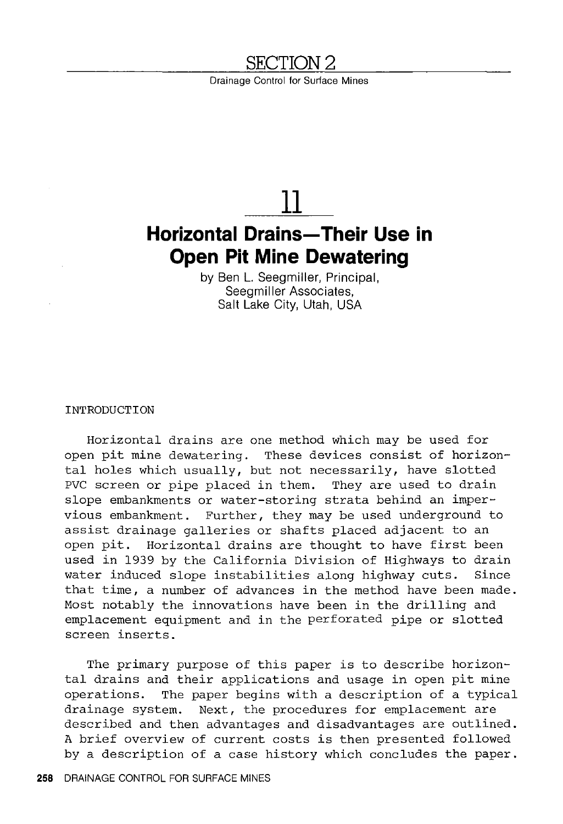### **SECTION2**

Drainage Control for Surface Mines

# **11**

## **Horizontal Drains-Their Use in Open Pit Mine Dewatering**

by Ben L. Seegmiller, Principal, Seegmiller Associates, Salt Lake City, Utah, USA

INTRODUCTION

Horizontal drains are one method which may be used for open pit mine dewatering. These devices consist of horizontal holes which usually, but not necessarily, have slotted<br>PVC screen or pipe placed in them. They are used to drain PVC screen or pipe placed in them. slope embankments or water-storing strata behind an impervious embankment. Further, they may be used underground to assist drainage galleries or shafts placed adjacent to an open pit. Horizontal drains are thought to have first been used in 1939 by the California Division of Highways to drain<br>water induced slope instabilities along highway cuts. Since water induced slope instabilities along highway cuts. that time, a number of advances in the method have been made. Most notably the innovations have been in the drilling and emplacement equipment and in the perforated pipe or slotted screen inserts.

The primary purpose of this paper is to describe horizontal drains and their applications and usage in open pit mine operations. The paper begins with a description of a typical drainage system. Next, the procedures for emplacement are described and then advantages and disadvantages are outlined. A brief overview of current costs is then presented followed by a description of a case history which concludes the paper.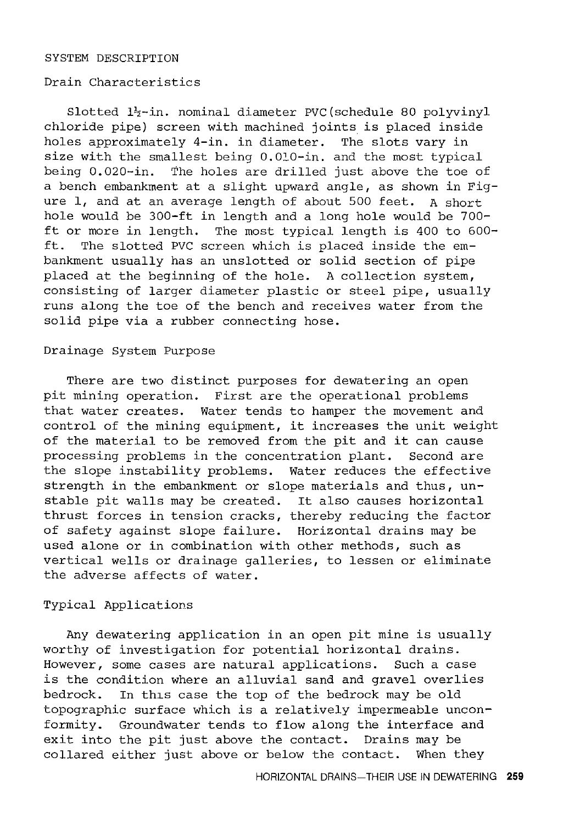#### SYSTEM DESCRIPTION

#### Drain Characteristics

Slotted  $l_2^2$ -in. nominal diameter PVC (schedule 80 polyvinyl chloride pipe) screen with machined joints is placed inside holes approximately 4-in. in diameter. The slots vary in size with the smallest being 0.010-in. and the most typical being 0.020-in. The holes are drilled just above the toe of a bench embankment at a slight upward angle, as shown in Figure 1, and at an average length of about 500 feet. A short hole would be 300-ft in length and a long hole would be 700 ft or more in length. The most typical length is 400 to 600 ft. The slotted PVC screen which is placed inside the embankment usually has an unslotted or solid section of pipe placed at the beginning of the hole. A collection system, consisting of larger diameter plastic or steel pipe, usually runs along the toe of the bench and receives water from the solid pipe via a rubber connecting hose.

#### Drainage System Purpose

There are two distinct purposes for dewatering an open pit mining operation. First are the operational problems that water creates. Water tends to hamper the movement and control of the mining equipment, it increases the unit weight of the material to be removed from the pit and it can cause processing problems in the concentration plant. Second are the slope instability problems. Water reduces the effective strength in the embankment or slope materials and thus, unstable pit walls may be created. It also causes horizontal thrust forces in tension cracks, thereby reducing the factor of safety against slope failure. Horizontal drains may be used alone or in combination with other methods, such as vertical wells or drainage galleries, to lessen or eliminate the adverse affects of water.

#### Typical Applications

Any dewatering application in an open pit mine is usually worthy of investigation for potential horizontal drains. However, some cases are natural applications. Such a case is the condition where an alluvial sand and gravel overlies bedrock. In this case the top of the bedrock may be old topographic surface which is a relatively impermeable unconformity. Groundwater tends to flow along the interface and exit into the pit just above the contact. Drains may be collared either just above or below the contact. When they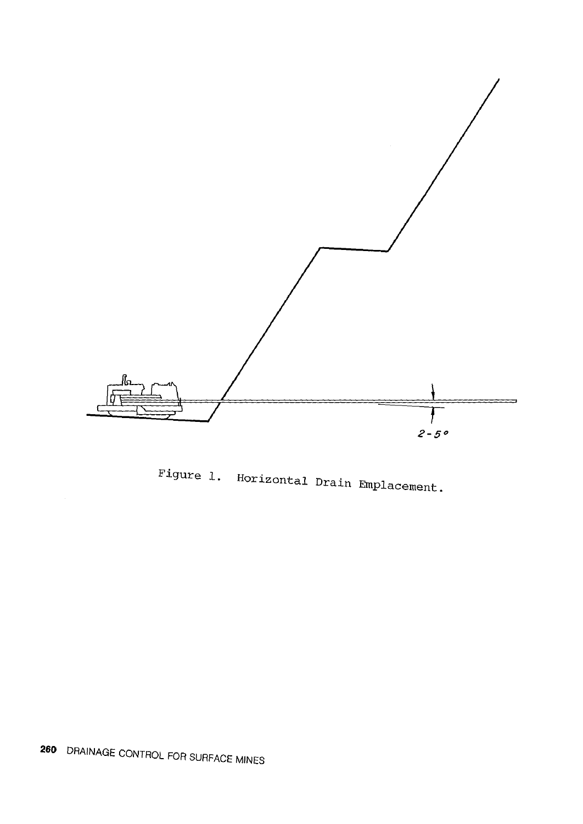

Figure 1. Horizontal Drain Emplacement.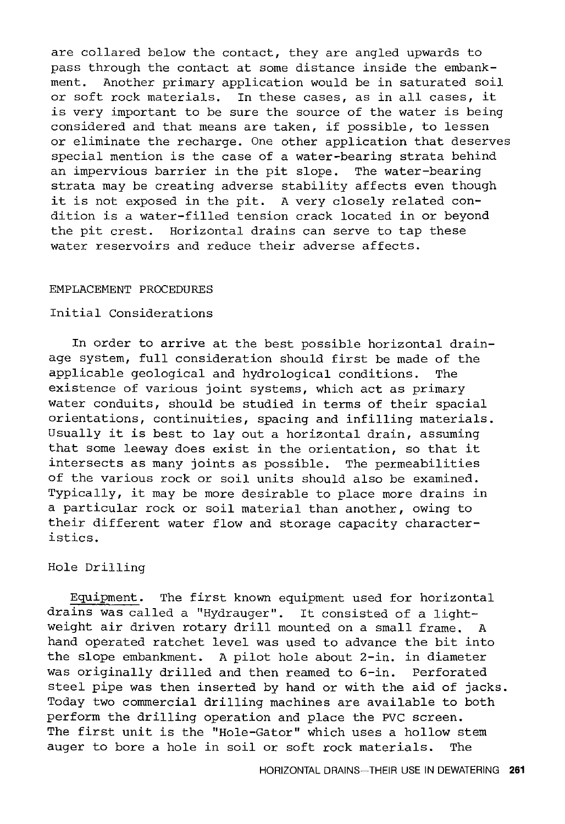are collared below the contact, they are angled upwards to pass through the contact at some distance inside the embankment. Another primary application would be in saturated soil or soft rock materials. In these cases, as in all cases, it is very important to be sure the source of the water is being considered and that means are taken, if possible, to lessen or eliminate the recharge. One other application that deserves special mention is the case of a water-bearing strata behind an impervious barrier in the pit slope. The water-bearing strata may be creating adverse stability affects even though it is not exposed in the pit. A very closely related condition is a water-filled tension crack located in or beyond the pit crest. Horizontal drains can serve to tap these water reservoirs and reduce their adverse affects.

#### EMPLACEMENT PROCEDURES

#### Initial Considerations

In order to arrive at the best possible horizontal drainage system, full consideration should first be made of the applicable geological and hydrological conditions. The existence of various joint systems, which act as primary water conduits, should be studied in terms of their spacial orientations, continuities, spacing and infilling materials. Usually it is best to lay out a horizontal drain, assuming that some leeway does exist in the orientation, so that it intersects as many joints as possible. The permeabilities of the various rock or soil units should also be examined. Typically, it may be more desirable to place more drains in a particular rock or soil material than another, owing to their different water flow and storage capacity characteristics.

#### Hole Drilling

Equipment. The first known equipment used for horizontal drains was called a "Hydrauger". It consisted of a lightweight air driven rotary drill mounted on a small frame. A hand operated ratchet level was used to advance the bit into the slope embankment. A pilot hole about 2-in. in diameter was originally drilled and then reamed to 6-in. Perforated steel pipe was then inserted by hand or with the aid of jacks. Today two commercial drilling machines are available to both perform the drilling operation and place the PVC screen. The first unit is the "Hole-Gator" which uses a hollow stem auger to bore a hole in soil or soft rock materials. The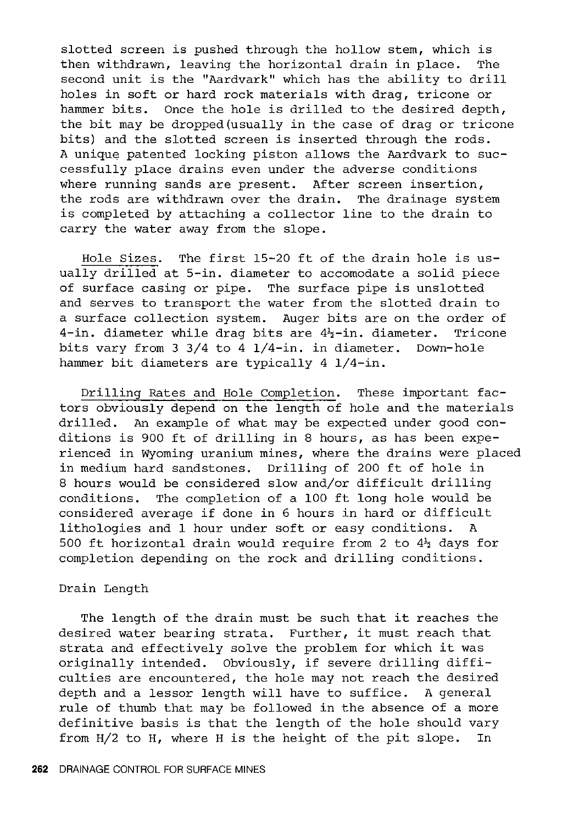slotted screen is pushed through the hollow stem, which is then withdrawn, leaving the horizontal drain in place. The second unit is the "Aardvark" which has the ability to drill holes in soft or hard rock materials with drag, tricone or hammer bits. Once the hole is drilled to the desired depth, the bit may be dropped(usually in the case of drag or tricone bits) and the slotted screen is inserted through the rods. A unique patented locking piston allows the Aardvark to successfully place drains even under the adverse conditions where running sands are present. After screen insertion, the rods are withdrawn over the drain. The drainage system is completed by attaching a collector line to the drain to carry the water away from the slope.

Hole Sizes. The first 15-20 ft of the drain hole is usually drilled at 5-in. diameter to accomodate a solid piece of surface casing or pipe. The surface pipe is unslotted and serves to transport the water from the slotted drain to a surface collection system. Auger bits are on the order of 4-in. diameter while drag bits are  $4\frac{1}{2}$ -in. diameter. Tricone bits vary from 3 3/4 to 4 1/4-in. in diameter. Down-hole hammer bit diameters are typically 4 1/4-in.

Drilling Rates and Hole Completion. These important factors obviously depend on the length of hole and the materials drilled. An example of what may be expected under good conditions is 900 ft of drilling in 8 hours, as has been experienced in Wyoming uranium mines, where the drains were placed in medium hard sandstones. Drilling of 200 ft of hole in 8 hours would be considered slow and/or difficult drilling conditions. The completion of a 100 ft long hole would be considered average if done in 6 hours in hard or difficult lithologies and 1 hour under soft or easy conditions. 500 ft horizontal drain would require from 2 to  $4\frac{1}{2}$  days for completion depending on the rock and drilling conditions.

#### Drain Length

The length of the drain must be such that it reaches the desired water bearing strata. Further, it must reach that strata and effectively solve the problem for which it was originally intended. Obviously, if severe drilling difficulties are encountered, the hole may not reach the desired depth and a lessor length will have to suffice. A general rule of thumb that may be followed in the absence of a more definitive basis is that the length of the hole should vary from H/2 to H, where H is the height of the pit slope. In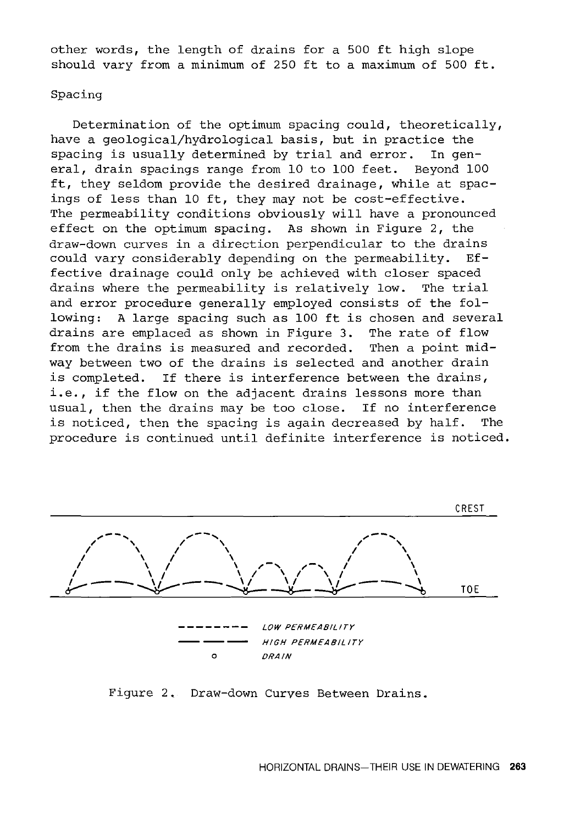other words, the length of drains for a 500 ft high slope should vary from a minimum of 250 ft to a maximum of 500 ft.

#### Spacing

Determination of the optimum spacing could, theoretically, have a geological/hydrological basis, but in practice the spacing is usually determined by trial and error. In general, drain spacings range from 10 to 100 feet. Beyond 100 ft, they seldom provide the desired drainage, while at spacings of less than 10 ft, they may not be cost-effective. The permeability conditions obviously will have a pronounced effect on the optimum spacing. As shown in Figure 2, the draw-down curves in a direction perpendicular to the drains could vary considerably depending on the permeability. Effective drainage could only be achieved with closer spaced drains where the permeability is relatively low. The trial and error procedure generally employed consists of the following: A large spacing such as 100 ft is chosen and several drains are emplaced as shown in Figure 3. The rate of flow from the drains is measured and recorded. Then a point midway between two of the drains is selected and another drain is completed. If there is interference between the drains, i.e., if the flow on the adjacent drains lessons more than<br>usual, then the drains may be too close. If no interference usual, then the drains may be too close. is noticed, then the spacing is again decreased by half. The procedure is continued until definite interference is noticed.



Figure 2. Draw-down Curves Between Drains.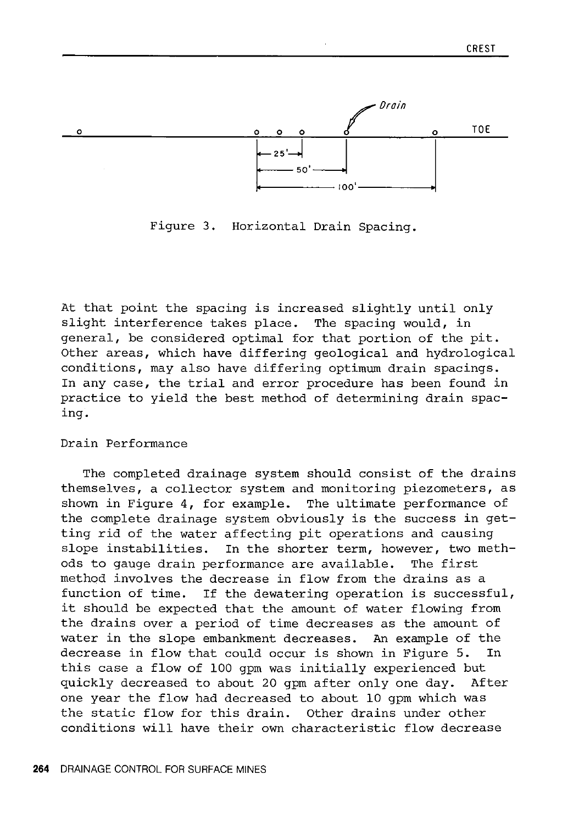

Figure 3. Horizontal Drain Spacing.

At that point the spacing is increased slightly until only slight interference takes place. The spacing would, in general, be considered optimal for that portion of the pit. Other areas, which have differing geological and hydrological conditions, may also have differing optimum drain spacings. In any case, the trial and error procedure has been found in practice to yield the best method of determining drain spacing.

#### Drain Performance

The completed drainage system should consist of the drains themselves, a collector system and monitoring piezometers, as shown in Figure 4, for example. The ultimate performance of the complete drainage system obviously is the success in getting rid of the water affecting pit operations and causing slope instabilities. In the shorter term, however, two methods to gauge drain performance are available. The first method involves the decrease in flow from the drains as a function of time. If the dewatering operation is successful, it should be expected that the amount of water flowing from the drains over a period of time decreases as the amount of water in the slope embankment decreases. An example of the decrease in flow that could occur is shown in Figure 5. In this case a flow of 100 gpm was initially experienced but quickly decreased to about 20 gpm after only one day. After one year the flow had decreased to about 10 gpm which was the static flow for this drain. Other drains under other conditions will have their own characteristic flow decrease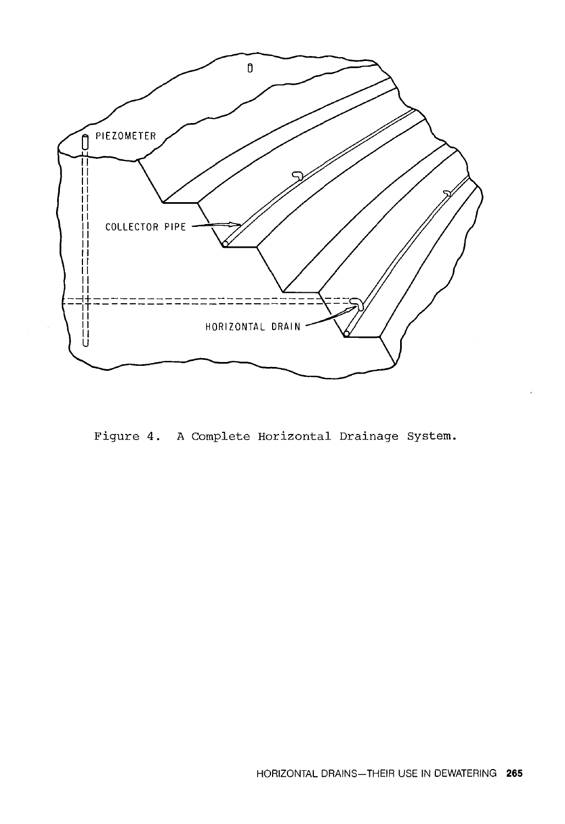

Figure 4. A Complete Horizontal Drainage System.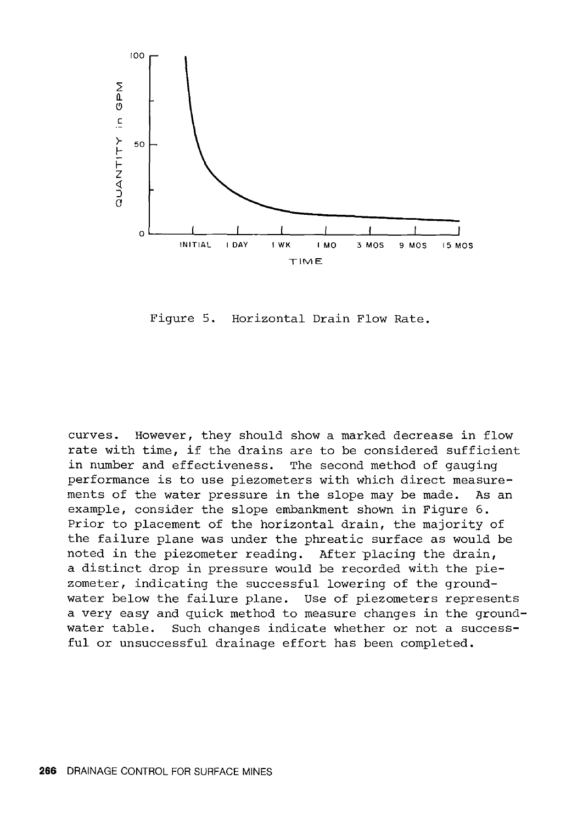

Figure 5. Horizontal Drain Flow Rate.

curves. However, they should show a marked decrease in flow rate with time, if the drains are to be considered sufficient<br>in number and effectiveness. The second method of qauging in number and effectiveness. performance is to use piezometers with which direct measurements of the water pressure in the slope may be made. As an example, consider the slope embankment shown in Figure 6. Prior to placement of the horizontal drain, the majority of the failure plane was under the phreatic surface as would be noted in the piezometer reading. After placing the drain, a distinct drop in pressure would be recorded with the piezometer, indicating the successful lowering of the groundwater below the failure plane. Use of piezometers represents a very easy and quick method to measure changes in the groundwater table. Such changes indicate whether or not a successful or unsuccessful drainage effort has been completed.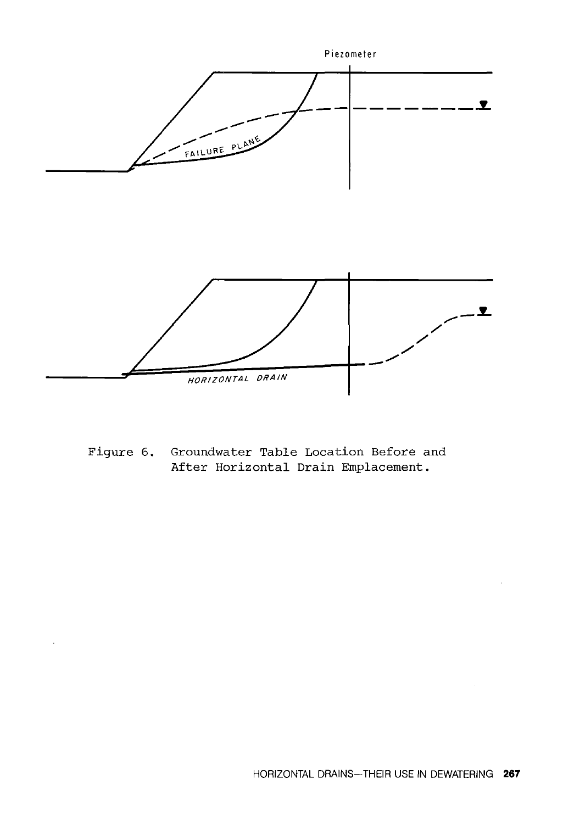

Figure 6. Groundwater Table Location Before and After Horizontal Drain Emplacement.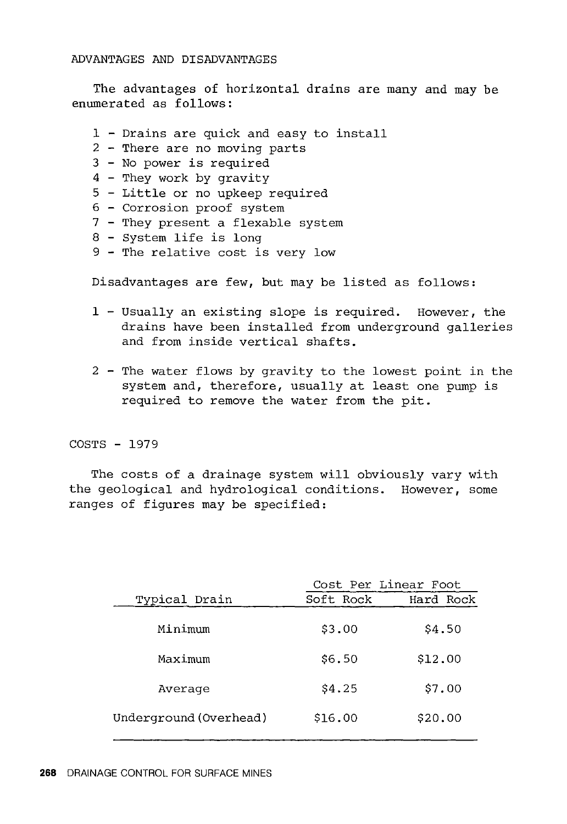The advantages of horizontal drains are many and may be enumerated as follows:

- 1 Drains are quick and easy to install
- 2 There are no moving parts
- 3 No power is required
- 4 They work by gravity
- 5 Little or no upkeep required
- 6 Corrosion proof system
- 7 They present a flexable system
- 8 System life is long
- 9 The relative cost is very low

Disadvantages are few, but may be listed as follows:

- 1 Usually an existing slope is required. However, the drains have been installed from underground galleries and from inside vertical shafts.
- 2 The water flows by gravity to the lowest point in the system and, therefore, usually at least one pump is required to remove the water from the pit.

#### COSTS - 1979

The costs of a drainage system will obviously vary with the geological and hydrological conditions. However, some ranges of figures may be specified:

|                        | Cost Per Linear Foot |           |
|------------------------|----------------------|-----------|
| Typical Drain          | Soft Rock            | Hard Rock |
| Minimum                | \$3.00               | \$4.50    |
| Maximum                | \$6.50               | \$12.00   |
| Average                | \$4.25               | \$7.00    |
| Underground (Overhead) | \$16.00              | \$20.00   |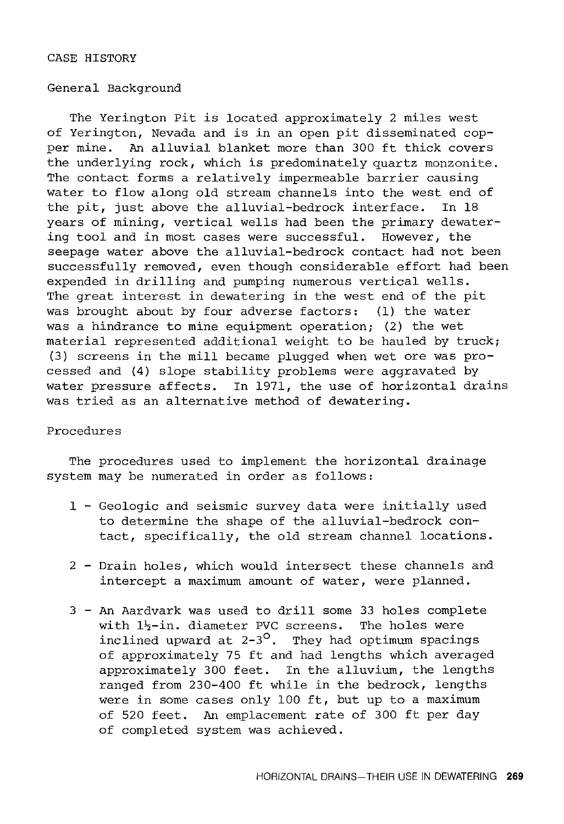#### CASE HISTORY

#### General Background

The Yerington Pit is located approximately 2 miles west of Yerington, Nevada and is in an open pit disseminated copper mine. An alluvial blanket more than 300 ft thick covers the underlying rock, which is predominately quartz monzonite. The contact forms a relatively impermeable barrier causing water to flow along old stream channels into the west end of the pit, just above the alluvial-bedrock interface. In 18 years of mining, vertical wells had been the primary dewatering tool and in most cases were successful. However, the seepage water above the alluvial-bedrock contact had not been successfully removed, even though considerable effort had been expended in drilling and pumping numerous vertical wells. The great interest in dewatering in the west end of the pit was brought about by four adverse factors: (1) the water was a hindrance to mine equipment operation; (2) the wet material represented additional weight to be hauled by truck; (3) screens in the mill became plugged when wet ore was processed and (4) slope stability problems were aggravated by water pressure affects. In 1971, the use of horizontal drains was tried as an alternative method of dewatering.

#### Procedures

The procedures used to implement the horizontal drainage system may be numerated in order as follows:

- 1 Geologic and seismic survey data were initially used to determine the shape of the alluvial-bedrock contact, specifically, the old stream channel locations.
- 2 Drain holes, which would intersect these channels and intercept a maximum amount of water, were planned.
- 3 An Aardvark was used to drill some 33 holes complete with  $l_2^L$ -in. diameter PVC screens. The holes were inclined upward at  $2-3^{\circ}$ . They had optimum spacings of approximately 75 ft and had lengths which averaged approximately 300 feet. In the alluvium, the lengths ranged from 230-400 ft while in the bedrock, lengths were in some cases only 100 ft, but up to a maximum of 520 feet. An emplacement rate of 300 ft per day of completed system was achieved.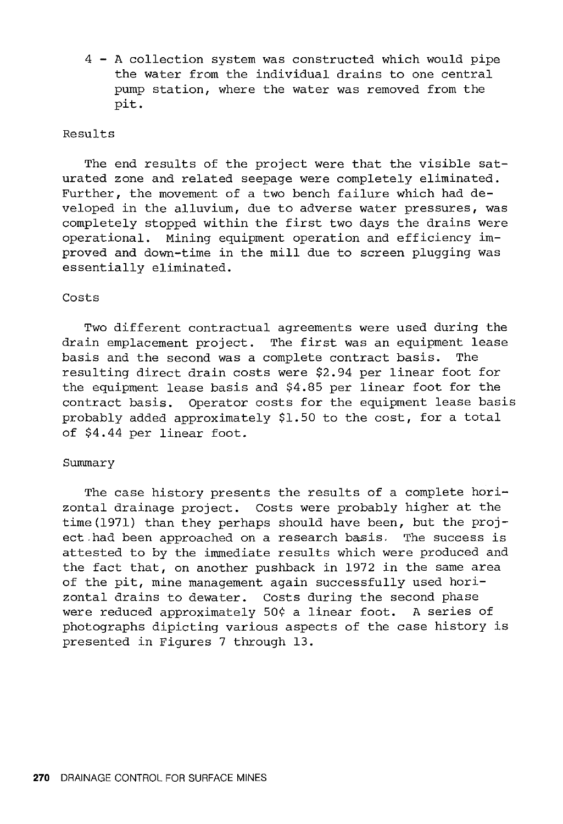4 - A collection system was constructed which would pipe the water from the individual drains to one central pump station, where the water was removed from the pit.

#### Results

The end results of the project were that the visible saturated zone and related seepage were completely eliminated. Further, the movement of a two bench failure which had developed in the alluvium, due to adverse water pressures, was completely stopped within the first two days the drains were operational. Mining equipment operation and efficiency improved and down-time in the mill due to screen plugging was essentially eliminated.

#### Costs

Two different contractual agreements were used during the drain emplacement project. The first was an equipment lease basis and the second was a complete contract basis. The resulting direct drain costs were \$2.94 per linear foot for the equipment lease basis and \$4.85 per linear foot for the contract basis. Operator costs for the equipment lease basis probably added approximately \$1.50 to the cost, for a total of \$4.44 per linear foot.

#### Summary

The case history presents the results of a complete horizontal drainage project. Costs were probably higher at the time(l971) than they perhaps should have been, but the project .had been approached on a research basis. The success is attested to by the immediate results which were produced and the fact that, on another pushback in 1972 in the same area of the pit, mine management again successfully used horizontal drains to dewater. Costs during the second phase were reduced approximately 50¢ a linear foot. A series of photographs dipicting various aspects of the case history is presented in Figures 7 through 13.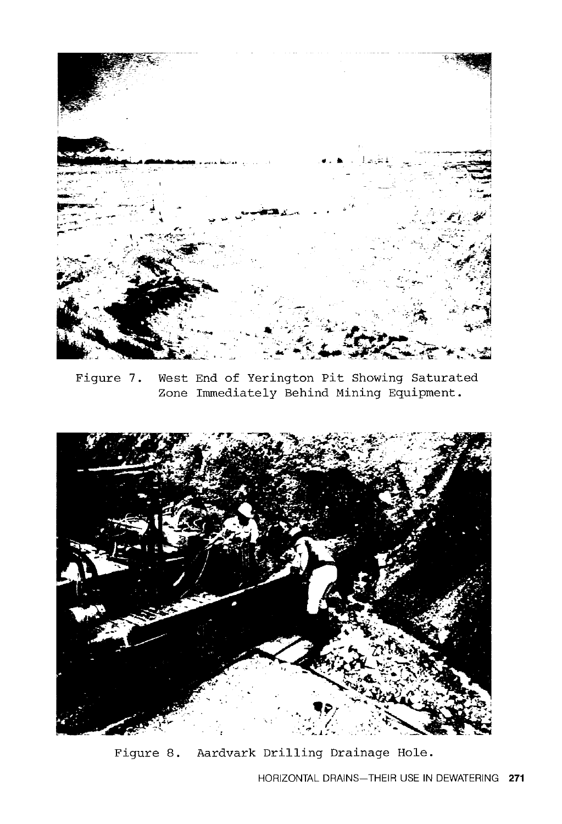

Figure 7. West End of Yerington Pit Showing Saturated Zone Immediately Behind Mining Equipment.



Figure 8. Aardvark Drilling Drainage Hole.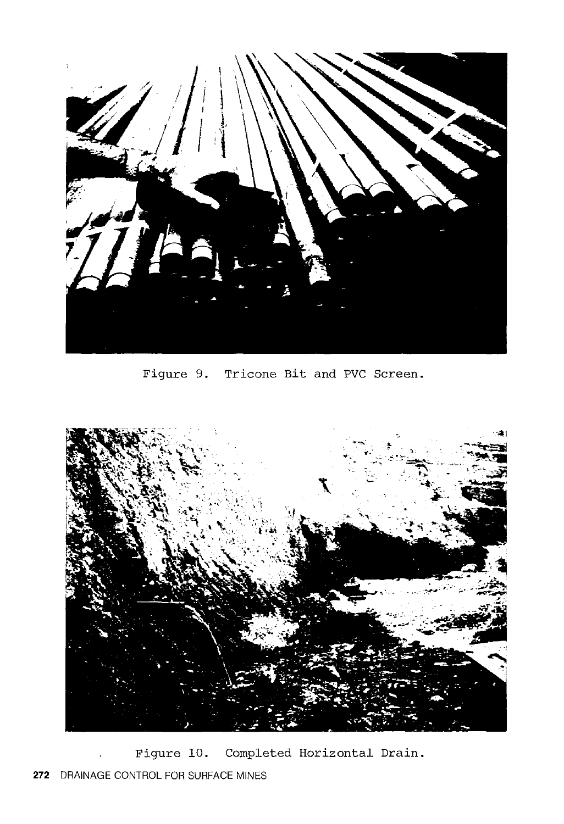

Figure 9. Tricone Bit and PVC Screen.



Figure 10. Completed Horizontal Drain. **272** DRAINAGE CONTROL FOR SURFACE MINES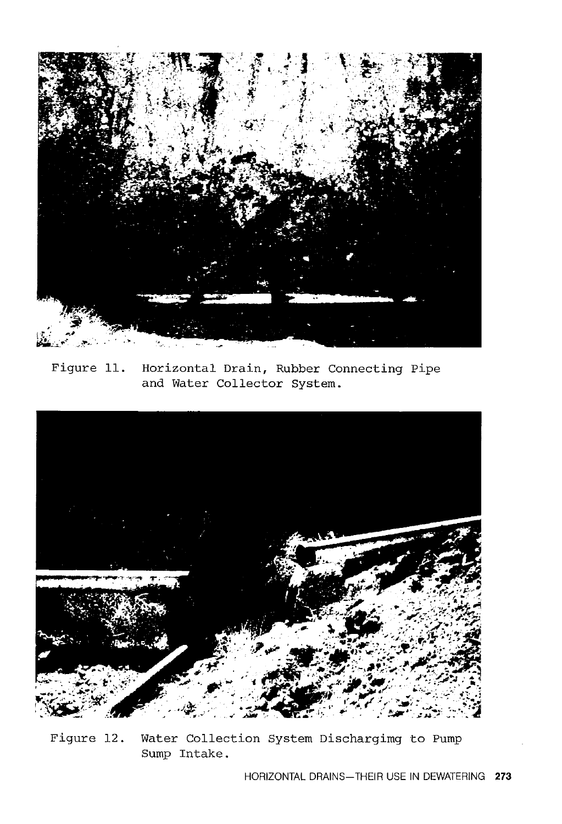

Figure 11. Horizontal Drain, Rubber Connecting Pipe and Water Collector System.



Figure 12. Water Collection System Dischargimg to Pump Sump Intake.